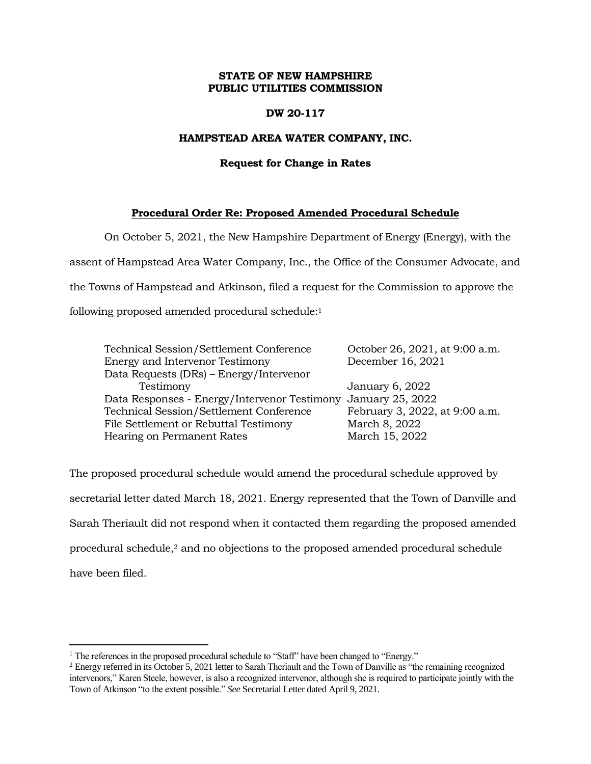# **STATE OF NEW HAMPSHIRE PUBLIC UTILITIES COMMISSION**

# **DW 20-117**

### **HAMPSTEAD AREA WATER COMPANY, INC.**

#### **Request for Change in Rates**

# **Procedural Order Re: Proposed Amended Procedural Schedule**

On October 5, 2021, the New Hampshire Department of Energy (Energy), with the assent of Hampstead Area Water Company, Inc., the Office of the Consumer Advocate, and the Towns of Hampstead and Atkinson, filed a request for the Commission to approve the following proposed amended procedural schedule: 1

| Technical Session/Settlement Conference                       | October 26, 2021, at 9:00 a.m. |
|---------------------------------------------------------------|--------------------------------|
| <b>Energy and Intervenor Testimony</b>                        | December 16, 2021              |
| Data Requests (DRs) - Energy/Intervenor                       |                                |
| Testimony                                                     | January 6, 2022                |
| Data Responses - Energy/Intervenor Testimony January 25, 2022 |                                |
| Technical Session/Settlement Conference                       | February 3, 2022, at 9:00 a.m. |
| File Settlement or Rebuttal Testimony                         | March 8, 2022                  |
| Hearing on Permanent Rates                                    | March 15, 2022                 |

The proposed procedural schedule would amend the procedural schedule approved by secretarial letter dated March 18, 2021. Energy represented that the Town of Danville and Sarah Theriault did not respond when it contacted them regarding the proposed amended procedural schedule,<sup>2</sup> and no objections to the proposed amended procedural schedule have been filed.

 $\overline{a}$ 

<sup>&</sup>lt;sup>1</sup> The references in the proposed procedural schedule to "Staff" have been changed to "Energy."

<sup>2</sup> Energy referred in its October 5, 2021 letter to Sarah Theriault and the Town of Danville as "the remaining recognized intervenors," Karen Steele, however, is also a recognized intervenor, although she is required to participate jointly with the Town of Atkinson "to the extent possible." *See* Secretarial Letter dated April 9, 2021.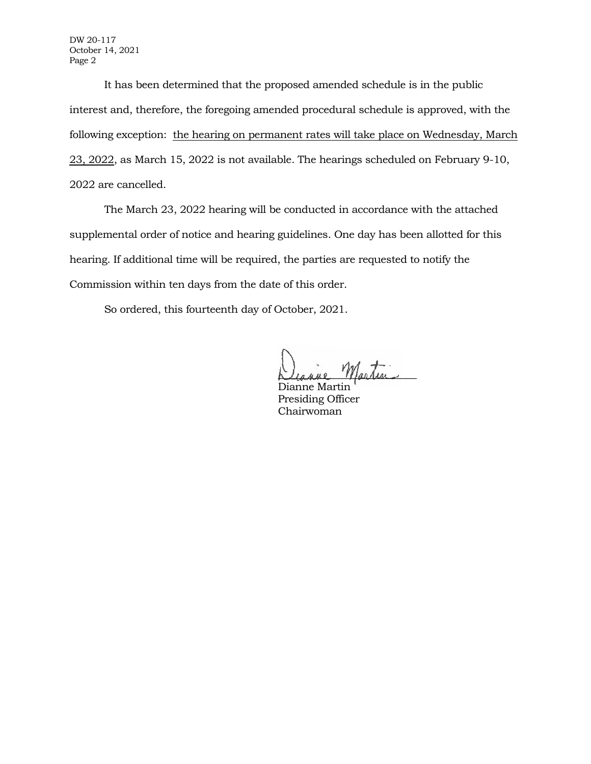DW 20-117 October 14, 2021 Page 2

It has been determined that the proposed amended schedule is in the public interest and, therefore, the foregoing amended procedural schedule is approved, with the following exception: the hearing on permanent rates will take place on Wednesday, March 23, 2022, as March 15, 2022 is not available. The hearings scheduled on February 9-10, 2022 are cancelled.

The March 23, 2022 hearing will be conducted in accordance with the attached supplemental order of notice and hearing guidelines. One day has been allotted for this hearing. If additional time will be required, the parties are requested to notify the Commission within ten days from the date of this order.

So ordered, this fourteenth day of October, 2021.

Martin

Dianne Martin Presiding Officer Chairwoman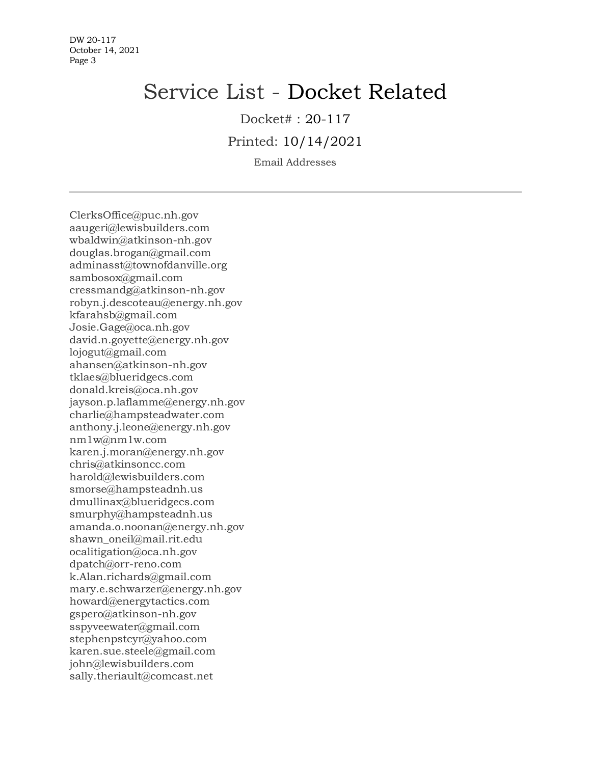DW 20-117 October 14, 2021 Page 3

# Service List - Docket Related

Docket# : 20-117

Printed: 10/14/2021

Email Addresses

ClerksOffice@puc.nh.gov aaugeri@lewisbuilders.com wbaldwin@atkinson-nh.gov douglas.brogan@gmail.com adminasst@townofdanville.org sambosox@gmail.com cressmandg@atkinson-nh.gov robyn.j.descoteau@energy.nh.gov kfarahsb@gmail.com Josie.Gage@oca.nh.gov david.n.goyette@energy.nh.gov lojogut@gmail.com ahansen@atkinson-nh.gov tklaes@blueridgecs.com donald.kreis@oca.nh.gov jayson.p.laflamme@energy.nh.gov charlie@hampsteadwater.com anthony.j.leone@energy.nh.gov nm1w@nm1w.com karen.j.moran@energy.nh.gov chris@atkinsoncc.com harold@lewisbuilders.com smorse@hampsteadnh.us dmullinax@blueridgecs.com smurphy@hampsteadnh.us amanda.o.noonan@energy.nh.gov shawn oneil@mail.rit.edu ocalitigation@oca.nh.gov dpatch@orr-reno.com k.Alan.richards@gmail.com mary.e.schwarzer@energy.nh.gov howard@energytactics.com gspero@atkinson-nh.gov sspyveewater@gmail.com stephenpstcyr@yahoo.com karen.sue.steele@gmail.com john@lewisbuilders.com sally.theriault@comcast.net